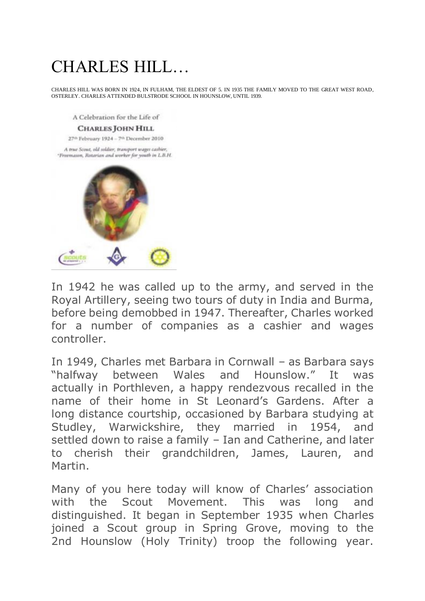## CHARLES HILL…

CHARLES HILL WAS BORN IN 1924, IN FULHAM, THE ELDEST OF 5. IN 1935 THE FAMILY MOVED TO THE GREAT WEST ROAD, OSTERLEY. CHARLES ATTENDED BULSTRODE SCHOOL IN HOUNSLOW, UNTIL 1939.

A Celebration for the Life of

## **CHARLES JOHN HILL**

27<sup>th</sup> February 1924 - 7<sup>th</sup> December 2010

A true Scout, old soldier, transport wages cashier, "Freematon, Rotarian and worker for youth in LB.H.



In 1942 he was called up to the army, and served in the Royal Artillery, seeing two tours of duty in India and Burma, before being demobbed in 1947. Thereafter, Charles worked for a number of companies as a cashier and wages controller.

In 1949, Charles met Barbara in Cornwall – as Barbara says "halfway between Wales and Hounslow." It was actually in Porthleven, a happy rendezvous recalled in the name of their home in St Leonard's Gardens. After a long distance courtship, occasioned by Barbara studying at Studley, Warwickshire, they married in 1954, and settled down to raise a family – Ian and Catherine, and later to cherish their grandchildren, James, Lauren, and Martin.

Many of you here today will know of Charles' association with the Scout Movement. This was long and distinguished. It began in September 1935 when Charles joined a Scout group in Spring Grove, moving to the 2nd Hounslow (Holy Trinity) troop the following year.